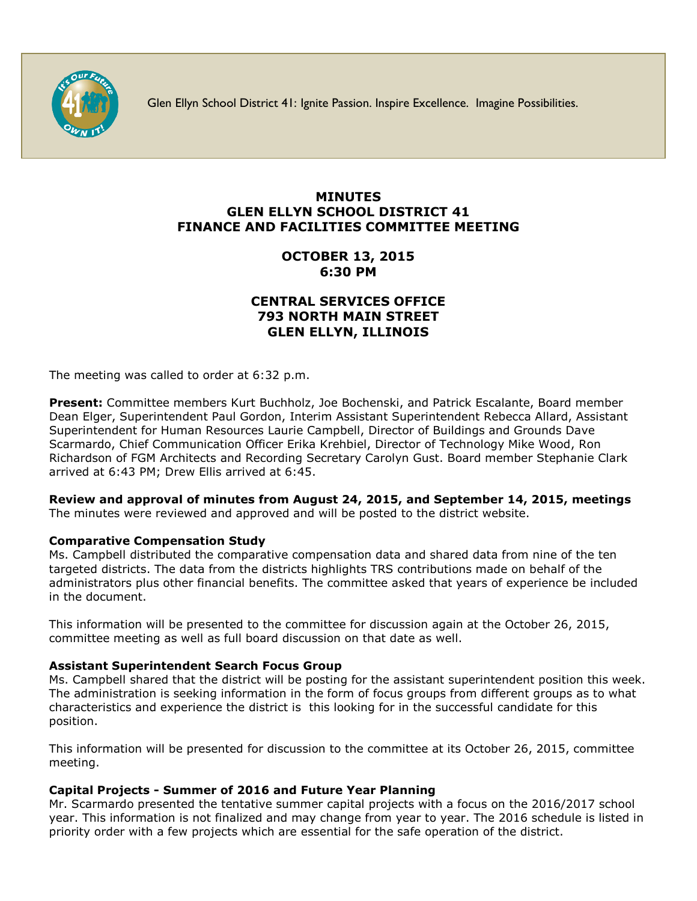

Glen Ellyn School District 41: Ignite Passion. Inspire Excellence. Imagine Possibilities.

# **MINUTES GLEN ELLYN SCHOOL DISTRICT 41 FINANCE AND FACILITIES COMMITTEE MEETING**

# **OCTOBER 13, 2015 6:30 PM**

## **CENTRAL SERVICES OFFICE 793 NORTH MAIN STREET GLEN ELLYN, ILLINOIS**

The meeting was called to order at 6:32 p.m.

**Present:** Committee members Kurt Buchholz, Joe Bochenski, and Patrick Escalante, Board member Dean Elger, Superintendent Paul Gordon, Interim Assistant Superintendent Rebecca Allard, Assistant Superintendent for Human Resources Laurie Campbell, Director of Buildings and Grounds Dave Scarmardo, Chief Communication Officer [Erika Krehbiel,](http://www.d41.org/contact_email.asp?id=ekrehbiel&n=Erika_Krehbiel) Director of Technology Mike Wood, Ron Richardson of FGM Architects and Recording Secretary Carolyn Gust. Board member Stephanie Clark arrived at 6:43 PM; Drew Ellis arrived at 6:45.

# **Review and approval of minutes from August 24, 2015, and September 14, 2015, meetings**

The minutes were reviewed and approved and will be posted to the district website.

## **Comparative Compensation Study**

Ms. Campbell distributed the comparative compensation data and shared data from nine of the ten targeted districts. The data from the districts highlights TRS contributions made on behalf of the administrators plus other financial benefits. The committee asked that years of experience be included in the document.

This information will be presented to the committee for discussion again at the October 26, 2015, committee meeting as well as full board discussion on that date as well.

#### **Assistant Superintendent Search Focus Group**

Ms. Campbell shared that the district will be posting for the assistant superintendent position this week. The administration is seeking information in the form of focus groups from different groups as to what characteristics and experience the district is this looking for in the successful candidate for this position.

This information will be presented for discussion to the committee at its October 26, 2015, committee meeting.

## **Capital Projects - Summer of 2016 and Future Year Planning**

Mr. Scarmardo presented the tentative summer capital projects with a focus on the 2016/2017 school year. This information is not finalized and may change from year to year. The 2016 schedule is listed in priority order with a few projects which are essential for the safe operation of the district.